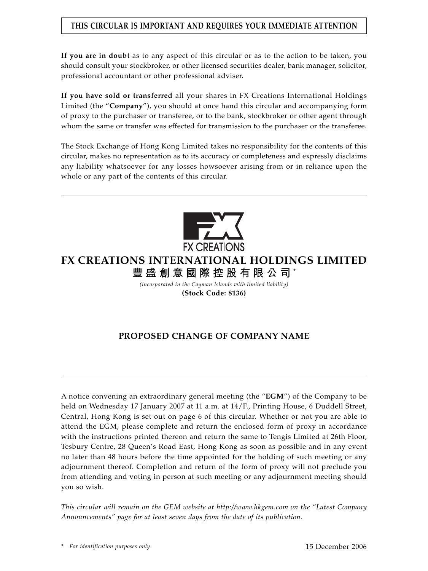## **THIS CIRCULAR IS IMPORTANT AND REQUIRES YOUR IMMEDIATE ATTENTION**

**If you are in doubt** as to any aspect of this circular or as to the action to be taken, you should consult your stockbroker, or other licensed securities dealer, bank manager, solicitor, professional accountant or other professional adviser.

**If you have sold or transferred** all your shares in FX Creations International Holdings Limited (the "**Company**"), you should at once hand this circular and accompanying form of proxy to the purchaser or transferee, or to the bank, stockbroker or other agent through whom the same or transfer was effected for transmission to the purchaser or the transferee.

The Stock Exchange of Hong Kong Limited takes no responsibility for the contents of this circular, makes no representation as to its accuracy or completeness and expressly disclaims any liability whatsoever for any losses howsoever arising from or in reliance upon the whole or any part of the contents of this circular.



# **FX CREATIONS INTERNATIONAL HOLDINGS LIMITED 豐盛創意國際控股有限公司** \*

*(incorporated in the Cayman Islands with limited liability)* **(Stock Code: 8136)**

## **PROPOSED CHANGE OF COMPANY NAME**

A notice convening an extraordinary general meeting (the "**EGM**") of the Company to be held on Wednesday 17 January 2007 at 11 a.m. at 14/F., Printing House, 6 Duddell Street, Central, Hong Kong is set out on page 6 of this circular. Whether or not you are able to attend the EGM, please complete and return the enclosed form of proxy in accordance with the instructions printed thereon and return the same to Tengis Limited at 26th Floor, Tesbury Centre, 28 Queen's Road East, Hong Kong as soon as possible and in any event no later than 48 hours before the time appointed for the holding of such meeting or any adjournment thereof. Completion and return of the form of proxy will not preclude you from attending and voting in person at such meeting or any adjournment meeting should you so wish.

*This circular will remain on the GEM website at http://www.hkgem.com on the "Latest Company Announcements" page for at least seven days from the date of its publication.*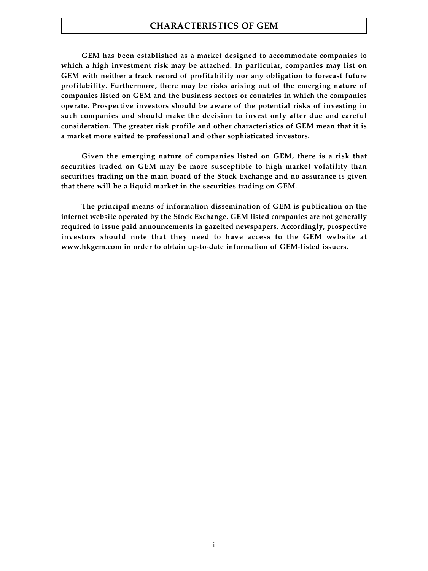### **CHARACTERISTICS OF GEM**

**GEM has been established as a market designed to accommodate companies to which a high investment risk may be attached. In particular, companies may list on GEM with neither a track record of profitability nor any obligation to forecast future profitability. Furthermore, there may be risks arising out of the emerging nature of companies listed on GEM and the business sectors or countries in which the companies operate. Prospective investors should be aware of the potential risks of investing in such companies and should make the decision to invest only after due and careful consideration. The greater risk profile and other characteristics of GEM mean that it is a market more suited to professional and other sophisticated investors.**

**Given the emerging nature of companies listed on GEM, there is a risk that securities traded on GEM may be more susceptible to high market volatility than securities trading on the main board of the Stock Exchange and no assurance is given that there will be a liquid market in the securities trading on GEM.**

**The principal means of information dissemination of GEM is publication on the internet website operated by the Stock Exchange. GEM listed companies are not generally required to issue paid announcements in gazetted newspapers. Accordingly, prospective investors should note that they need to have access to the GEM website at www.hkgem.com in order to obtain up-to-date information of GEM-listed issuers.**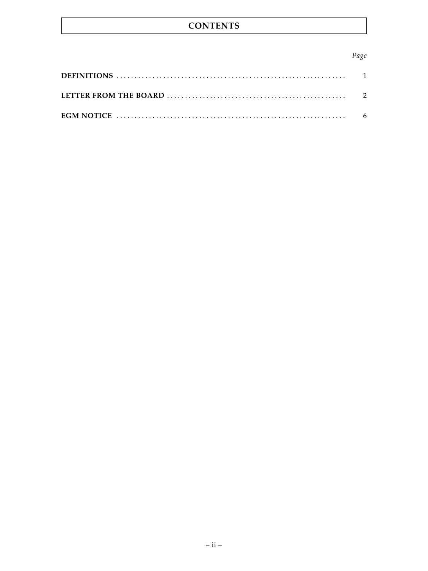## **CONTENTS**

### Page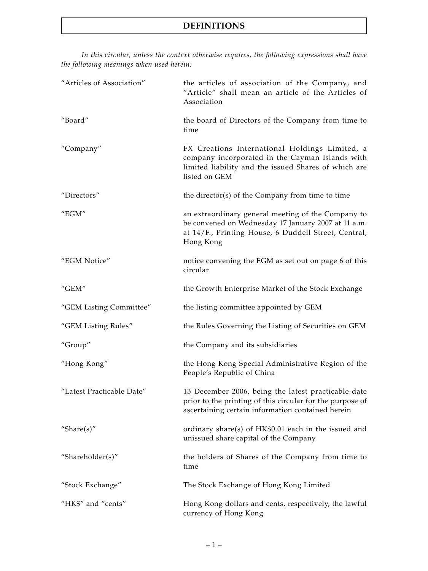*In this circular, unless the context otherwise requires, the following expressions shall have the following meanings when used herein:*

| "Articles of Association"               | the articles of association of the Company, and<br>"Article" shall mean an article of the Articles of<br>Association                                                           |
|-----------------------------------------|--------------------------------------------------------------------------------------------------------------------------------------------------------------------------------|
| "Board"                                 | the board of Directors of the Company from time to<br>time                                                                                                                     |
| "Company"                               | FX Creations International Holdings Limited, a<br>company incorporated in the Cayman Islands with<br>limited liability and the issued Shares of which are<br>listed on GEM     |
| "Directors"                             | the director(s) of the Company from time to time                                                                                                                               |
| "EGM"                                   | an extraordinary general meeting of the Company to<br>be convened on Wednesday 17 January 2007 at 11 a.m.<br>at 14/F., Printing House, 6 Duddell Street, Central,<br>Hong Kong |
| "EGM Notice"                            | notice convening the EGM as set out on page 6 of this<br>circular                                                                                                              |
| $^{\prime\prime}$ GEM $^{\prime\prime}$ | the Growth Enterprise Market of the Stock Exchange                                                                                                                             |
| "GEM Listing Committee"                 | the listing committee appointed by GEM                                                                                                                                         |
| "GEM Listing Rules"                     | the Rules Governing the Listing of Securities on GEM                                                                                                                           |
| "Group"                                 | the Company and its subsidiaries                                                                                                                                               |
| "Hong Kong"                             | the Hong Kong Special Administrative Region of the<br>People's Republic of China                                                                                               |
| "Latest Practicable Date"               | 13 December 2006, being the latest practicable date<br>prior to the printing of this circular for the purpose of<br>ascertaining certain information contained herein          |
| "Share $(s)$ "                          | ordinary share(s) of HK\$0.01 each in the issued and<br>unissued share capital of the Company                                                                                  |
| "Shareholder(s)"                        | the holders of Shares of the Company from time to<br>time                                                                                                                      |
| "Stock Exchange"                        | The Stock Exchange of Hong Kong Limited                                                                                                                                        |
| "HK\$" and "cents"                      | Hong Kong dollars and cents, respectively, the lawful<br>currency of Hong Kong                                                                                                 |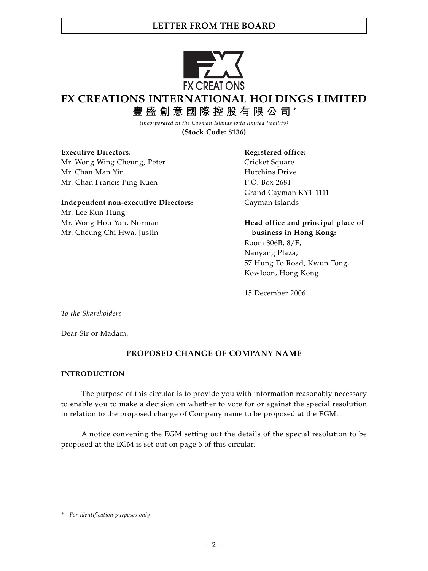

# **FX CREATIONS INTERNATIONAL HOLDINGS LIMITED**

**豐盛創意國際控股有限公司** \*

*(incorporated in the Cayman Islands with limited liability)* **(Stock Code: 8136)**

**Executive Directors:** The Registered office:

Mr. Wong Wing Cheung, Peter Cricket Square Mr. Chan Man Yin **Hutchins Drive** Mr. Chan Francis Ping Kuen P.O. Box 2681

**Independent non-executive Directors:** Cayman Islands Mr. Lee Kun Hung Mr. Wong Hou Yan, Norman **Head office and principal place of** Mr. Cheung Chi Hwa, Justin **business in Hong Kong:**

Grand Cayman KY1-1111

Room 806B, 8/F, Nanyang Plaza, 57 Hung To Road, Kwun Tong,

15 December 2006

Kowloon, Hong Kong

*To the Shareholders*

Dear Sir or Madam,

## **PROPOSED CHANGE OF COMPANY NAME**

#### **INTRODUCTION**

The purpose of this circular is to provide you with information reasonably necessary to enable you to make a decision on whether to vote for or against the special resolution in relation to the proposed change of Company name to be proposed at the EGM.

A notice convening the EGM setting out the details of the special resolution to be proposed at the EGM is set out on page 6 of this circular.

*<sup>\*</sup> For identification purposes only*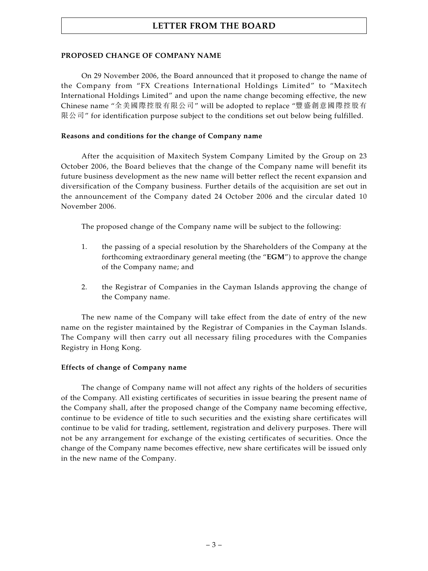#### **PROPOSED CHANGE OF COMPANY NAME**

On 29 November 2006, the Board announced that it proposed to change the name of the Company from "FX Creations International Holdings Limited" to "Maxitech International Holdings Limited" and upon the name change becoming effective, the new Chinese name "全美國際控股有限公司" will be adopted to replace "豐盛創意國際控股有 限公司" for identification purpose subject to the conditions set out below being fulfilled.

#### **Reasons and conditions for the change of Company name**

After the acquisition of Maxitech System Company Limited by the Group on 23 October 2006, the Board believes that the change of the Company name will benefit its future business development as the new name will better reflect the recent expansion and diversification of the Company business. Further details of the acquisition are set out in the announcement of the Company dated 24 October 2006 and the circular dated 10 November 2006.

The proposed change of the Company name will be subject to the following:

- 1. the passing of a special resolution by the Shareholders of the Company at the forthcoming extraordinary general meeting (the "**EGM**") to approve the change of the Company name; and
- 2. the Registrar of Companies in the Cayman Islands approving the change of the Company name.

The new name of the Company will take effect from the date of entry of the new name on the register maintained by the Registrar of Companies in the Cayman Islands. The Company will then carry out all necessary filing procedures with the Companies Registry in Hong Kong.

#### **Effects of change of Company name**

The change of Company name will not affect any rights of the holders of securities of the Company. All existing certificates of securities in issue bearing the present name of the Company shall, after the proposed change of the Company name becoming effective, continue to be evidence of title to such securities and the existing share certificates will continue to be valid for trading, settlement, registration and delivery purposes. There will not be any arrangement for exchange of the existing certificates of securities. Once the change of the Company name becomes effective, new share certificates will be issued only in the new name of the Company.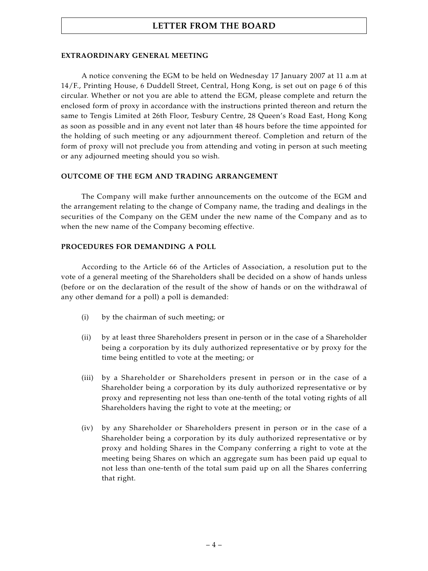#### **EXTRAORDINARY GENERAL MEETING**

A notice convening the EGM to be held on Wednesday 17 January 2007 at 11 a.m at 14/F., Printing House, 6 Duddell Street, Central, Hong Kong, is set out on page 6 of this circular. Whether or not you are able to attend the EGM, please complete and return the enclosed form of proxy in accordance with the instructions printed thereon and return the same to Tengis Limited at 26th Floor, Tesbury Centre, 28 Queen's Road East, Hong Kong as soon as possible and in any event not later than 48 hours before the time appointed for the holding of such meeting or any adjournment thereof. Completion and return of the form of proxy will not preclude you from attending and voting in person at such meeting or any adjourned meeting should you so wish.

#### **OUTCOME OF THE EGM AND TRADING ARRANGEMENT**

The Company will make further announcements on the outcome of the EGM and the arrangement relating to the change of Company name, the trading and dealings in the securities of the Company on the GEM under the new name of the Company and as to when the new name of the Company becoming effective.

#### **PROCEDURES FOR DEMANDING A POLL**

According to the Article 66 of the Articles of Association, a resolution put to the vote of a general meeting of the Shareholders shall be decided on a show of hands unless (before or on the declaration of the result of the show of hands or on the withdrawal of any other demand for a poll) a poll is demanded:

- (i) by the chairman of such meeting; or
- (ii) by at least three Shareholders present in person or in the case of a Shareholder being a corporation by its duly authorized representative or by proxy for the time being entitled to vote at the meeting; or
- (iii) by a Shareholder or Shareholders present in person or in the case of a Shareholder being a corporation by its duly authorized representative or by proxy and representing not less than one-tenth of the total voting rights of all Shareholders having the right to vote at the meeting; or
- (iv) by any Shareholder or Shareholders present in person or in the case of a Shareholder being a corporation by its duly authorized representative or by proxy and holding Shares in the Company conferring a right to vote at the meeting being Shares on which an aggregate sum has been paid up equal to not less than one-tenth of the total sum paid up on all the Shares conferring that right.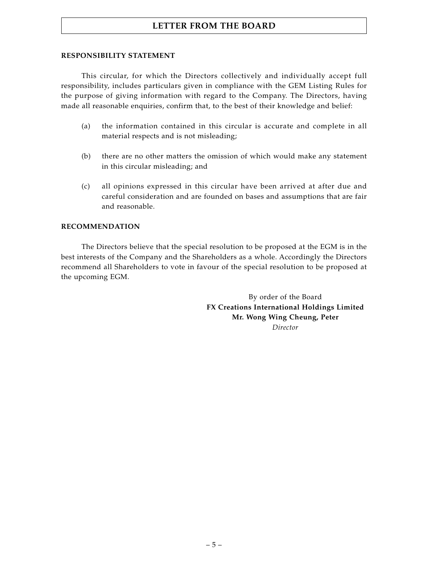#### **RESPONSIBILITY STATEMENT**

This circular, for which the Directors collectively and individually accept full responsibility, includes particulars given in compliance with the GEM Listing Rules for the purpose of giving information with regard to the Company. The Directors, having made all reasonable enquiries, confirm that, to the best of their knowledge and belief:

- (a) the information contained in this circular is accurate and complete in all material respects and is not misleading;
- (b) there are no other matters the omission of which would make any statement in this circular misleading; and
- (c) all opinions expressed in this circular have been arrived at after due and careful consideration and are founded on bases and assumptions that are fair and reasonable.

#### **RECOMMENDATION**

The Directors believe that the special resolution to be proposed at the EGM is in the best interests of the Company and the Shareholders as a whole. Accordingly the Directors recommend all Shareholders to vote in favour of the special resolution to be proposed at the upcoming EGM.

> By order of the Board **FX Creations International Holdings Limited Mr. Wong Wing Cheung, Peter** *Director*